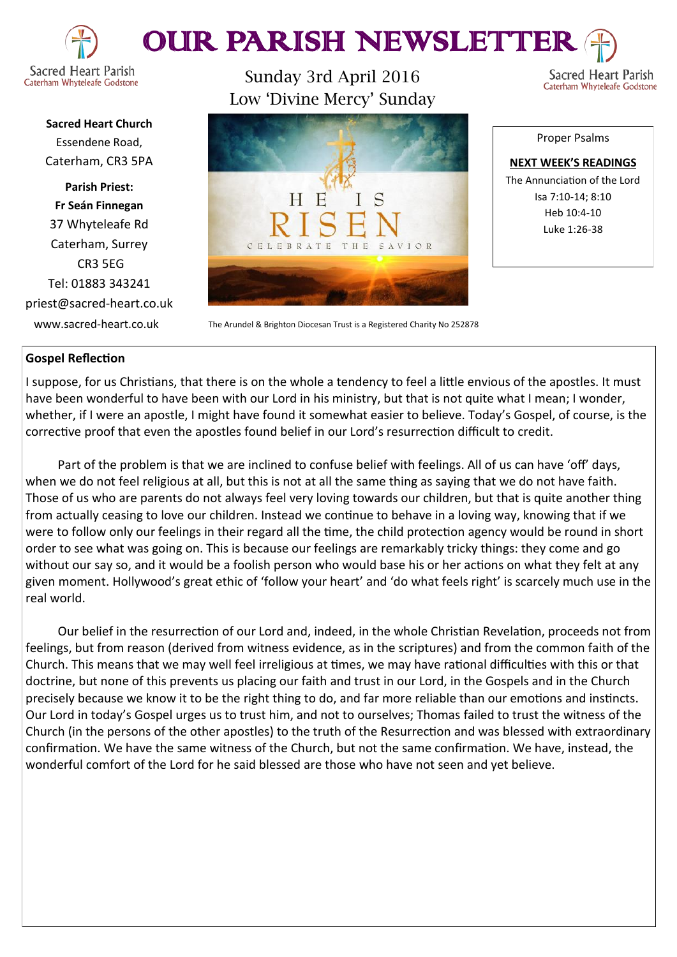



**Sacred Heart Church** Essendene Road, Caterham, CR3 5PA

**Parish Priest: Fr Seán Finnegan** 37 Whyteleafe Rd Caterham, Surrey CR3 5EG Tel: 01883 343241 priest@sacred-heart.co.uk

Sunday 3rd April 2016 Low 'Divine Mercy' Sunday



www.sacred-heart.co.uk The Arundel & Brighton Diocesan Trust is a Registered Charity No 252878

#### Proper Psalms

Sacred Heart Parish

Caterham Whyteleafe Godstone

**NEXT WEEK'S READINGS** The Annunciation of the Lord Isa 7:10-14; 8:10 Heb 10:4-10 Luke 1:26-38

### **Gospel Reflection**

I suppose, for us Christians, that there is on the whole a tendency to feel a little envious of the apostles. It must have been wonderful to have been with our Lord in his ministry, but that is not quite what I mean; I wonder, whether, if I were an apostle, I might have found it somewhat easier to believe. Today's Gospel, of course, is the corrective proof that even the apostles found belief in our Lord's resurrection difficult to credit.

Part of the problem is that we are inclined to confuse belief with feelings. All of us can have 'off' days, when we do not feel religious at all, but this is not at all the same thing as saying that we do not have faith. Those of us who are parents do not always feel very loving towards our children, but that is quite another thing from actually ceasing to love our children. Instead we continue to behave in a loving way, knowing that if we were to follow only our feelings in their regard all the time, the child protection agency would be round in short order to see what was going on. This is because our feelings are remarkably tricky things: they come and go without our say so, and it would be a foolish person who would base his or her actions on what they felt at any given moment. Hollywood's great ethic of 'follow your heart' and 'do what feels right' is scarcely much use in the real world.

Our belief in the resurrection of our Lord and, indeed, in the whole Christian Revelation, proceeds not from feelings, but from reason (derived from witness evidence, as in the scriptures) and from the common faith of the Church. This means that we may well feel irreligious at times, we may have rational difficulties with this or that doctrine, but none of this prevents us placing our faith and trust in our Lord, in the Gospels and in the Church precisely because we know it to be the right thing to do, and far more reliable than our emotions and instincts. Our Lord in today's Gospel urges us to trust him, and not to ourselves; Thomas failed to trust the witness of the Church (in the persons of the other apostles) to the truth of the Resurrection and was blessed with extraordinary confirmation. We have the same witness of the Church, but not the same confirmation. We have, instead, the wonderful comfort of the Lord for he said blessed are those who have not seen and yet believe.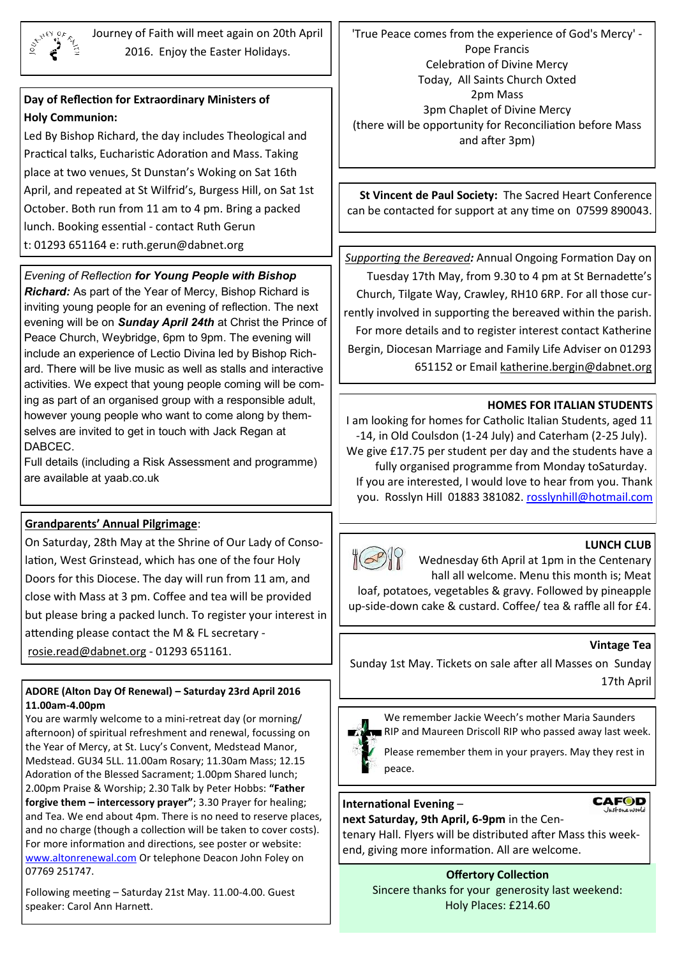

Journey of Faith will meet again on 20th April 2016. Enjoy the Easter Holidays.

# **Day of Reflection for Extraordinary Ministers of Holy Communion:**

Led By Bishop Richard, the day includes Theological and Practical talks, Eucharistic Adoration and Mass. Taking place at two venues, St Dunstan's Woking on Sat 16th April, and repeated at St Wilfrid's, Burgess Hill, on Sat 1st October. Both run from 11 am to 4 pm. Bring a packed lunch. Booking essential - contact Ruth Gerun t: 01293 651164 e: ruth.gerun@dabnet.org

## *Evening of Reflection for Young People with Bishop*

*Richard:* As part of the Year of Mercy, Bishop Richard is inviting young people for an evening of reflection. The next evening will be on *Sunday April 24th* at Christ the Prince of Peace Church, Weybridge, 6pm to 9pm. The evening will include an experience of Lectio Divina led by Bishop Richard. There will be live music as well as stalls and interactive activities. We expect that young people coming will be coming as part of an organised group with a responsible adult, however young people who want to come along by themselves are invited to get in touch with Jack Regan at DABCEC.

Full details (including a Risk Assessment and programme) are available at yaab.co.uk

## **Grandparents' Annual Pilgrimage**:

On Saturday, 28th May at the Shrine of Our Lady of Consolation, West Grinstead, which has one of the four Holy Doors for this Diocese. The day will run from 11 am, and close with Mass at 3 pm. Coffee and tea will be provided but please bring a packed lunch. To register your interest in attending please contact the M & FL secretary [rosie.read@dabnet.org](mailto:rosie.read@dabnet.org?subject=grandparents%20pilgirmage%20May) - 01293 651161.

### **ADORE (Alton Day Of Renewal) – Saturday 23rd April 2016 11.00am-4.00pm**

You are warmly welcome to a mini-retreat day (or morning/ afternoon) of spiritual refreshment and renewal, focussing on the Year of Mercy, at St. Lucy's Convent, Medstead Manor, Medstead. GU34 5LL. 11.00am Rosary; 11.30am Mass; 12.15 Adoration of the Blessed Sacrament; 1.00pm Shared lunch; 2.00pm Praise & Worship; 2.30 Talk by Peter Hobbs: **"Father forgive them – intercessory prayer"**; 3.30 Prayer for healing; and Tea. We end about 4pm. There is no need to reserve places, and no charge (though a collection will be taken to cover costs). For more information and directions, see poster or website: [www.altonrenewal.com](http://www.altonrenewal.com/) Or telephone Deacon John Foley on 07769 251747.

Following meeting – Saturday 21st May. 11.00-4.00. Guest speaker: Carol Ann Harnett.

'True Peace comes from the experience of God's Mercy' - Pope Francis Celebration of Divine Mercy Today, All Saints Church Oxted 2pm Mass 3pm Chaplet of Divine Mercy (there will be opportunity for Reconciliation before Mass and after 3pm)

**St Vincent de Paul Society:** The Sacred Heart Conference can be contacted for support at any time on 07599 890043.

*[Supporting the Bereaved](x-msg://39/#Supporting the Bereaved):* Annual Ongoing Formation Day on Tuesday 17th May, from 9.30 to 4 pm at St Bernadette's Church, Tilgate Way, Crawley, RH10 6RP. For all those currently involved in supporting the bereaved within the parish. For more details and to register interest contact Katherine Bergin, Diocesan Marriage and Family Life Adviser on 01293 651152 or Email [katherine.bergin@dabnet.org](mailto:katherine.bergin@dabnet.org?subject=Supporting%20the%20Breaved)

### **HOMES FOR ITALIAN STUDENTS**

I am looking for homes for Catholic Italian Students, aged 11 -14, in Old Coulsdon (1-24 July) and Caterham (2-25 July). We give £17.75 per student per day and the students have a fully organised programme from Monday toSaturday. If you are interested, I would love to hear from you. Thank you. Rosslyn Hill 01883 381082. [rosslynhill@hotmail.com](mailto:381082.%20rosslynhill@hotmail.com)





Wednesday 6th April at 1pm in the Centenary hall all welcome. Menu this month is; Meat

loaf, potatoes, vegetables & gravy. Followed by pineapple up-side-down cake & custard. Coffee/ tea & raffle all for £4.

### **Vintage Tea**

**CAFOD** 

Sunday 1st May. Tickets on sale after all Masses on Sunday 17th April



We remember Jackie Weech's mother Maria Saunders **RIP and Maureen Driscoll RIP who passed away last week.** 

Please remember them in your prayers. May they rest in peace.

### **International Evening** –

**next Saturday, 9th April, 6-9pm** in the Centenary Hall. Flyers will be distributed after Mass this weekend, giving more information. All are welcome.

> **Offertory Collection** Sincere thanks for your generosity last weekend: Holy Places: £214.60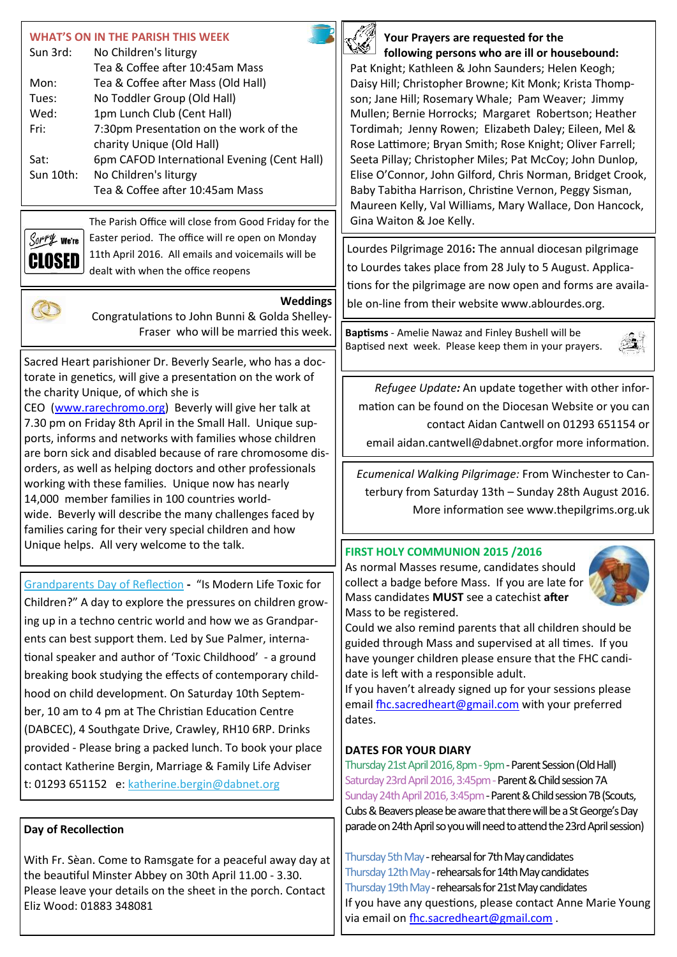| <b>WHAT'S ON IN THE PARISH THIS WEEK</b><br>Sun 3rd:<br>No Children's liturgy<br>Tea & Coffee after 10:45am Mass<br>Tea & Coffee after Mass (Old Hall)<br>Mon:<br>No Toddler Group (Old Hall)<br>Tues:<br>1pm Lunch Club (Cent Hall)<br>Wed:<br>7:30pm Presentation on the work of the<br>Fri:<br>charity Unique (Old Hall)<br>6pm CAFOD International Evening (Cent Hall)<br>Sat:<br>Sun 10th:<br>No Children's liturgy<br>Tea & Coffee after 10:45am Mass<br>The Parish Office will close from Good Friday for the<br>Easter period. The office will re open on Monday | Your Prayers are requested for the<br>following persons who are ill or housebound:<br>Pat Knight; Kathleen & John Saunders; Helen Keogh;<br>Daisy Hill; Christopher Browne; Kit Monk; Krista Thomp-<br>son; Jane Hill; Rosemary Whale; Pam Weaver; Jimmy<br>Mullen; Bernie Horrocks; Margaret Robertson; Heather<br>Tordimah; Jenny Rowen; Elizabeth Daley; Eileen, Mel &<br>Rose Lattimore; Bryan Smith; Rose Knight; Oliver Farrell;<br>Seeta Pillay; Christopher Miles; Pat McCoy; John Dunlop,<br>Elise O'Connor, John Gilford, Chris Norman, Bridget Crook,<br>Baby Tabitha Harrison, Christine Vernon, Peggy Sisman,<br>Maureen Kelly, Val Williams, Mary Wallace, Don Hancock,<br>Gina Waiton & Joe Kelly. |
|--------------------------------------------------------------------------------------------------------------------------------------------------------------------------------------------------------------------------------------------------------------------------------------------------------------------------------------------------------------------------------------------------------------------------------------------------------------------------------------------------------------------------------------------------------------------------|-------------------------------------------------------------------------------------------------------------------------------------------------------------------------------------------------------------------------------------------------------------------------------------------------------------------------------------------------------------------------------------------------------------------------------------------------------------------------------------------------------------------------------------------------------------------------------------------------------------------------------------------------------------------------------------------------------------------|
| Sorry we're<br>11th April 2016. All emails and voicemails will be<br>CLOSED<br>dealt with when the office reopens<br>Weddings<br>Congratulations to John Bunni & Golda Shelley-                                                                                                                                                                                                                                                                                                                                                                                          | Lourdes Pilgrimage 2016: The annual diocesan pilgrimage<br>to Lourdes takes place from 28 July to 5 August. Applica-<br>tions for the pilgrimage are now open and forms are availa-<br>ble on-line from their website www.ablourdes.org.                                                                                                                                                                                                                                                                                                                                                                                                                                                                          |
| Fraser who will be married this week.<br>Sacred Heart parishioner Dr. Beverly Searle, who has a doc-<br>torate in genetics, will give a presentation on the work of                                                                                                                                                                                                                                                                                                                                                                                                      | Baptisms - Amelie Nawaz and Finley Bushell will be<br>Baptised next week. Please keep them in your prayers.                                                                                                                                                                                                                                                                                                                                                                                                                                                                                                                                                                                                       |
| the charity Unique, of which she is<br>CEO (www.rarechromo.org) Beverly will give her talk at<br>7.30 pm on Friday 8th April in the Small Hall. Unique sup-<br>ports, informs and networks with families whose children<br>are born sick and disabled because of rare chromosome dis-<br>orders, as well as helping doctors and other professionals<br>working with these families. Unique now has nearly                                                                                                                                                                | Refugee Update: An update together with other infor-<br>mation can be found on the Diocesan Website or you can<br>contact Aidan Cantwell on 01293 651154 or<br>email aidan.cantwell@dabnet.orgfor more information.<br>Ecumenical Walking Pilgrimage: From Winchester to Can-<br>terbury from Saturday 13th - Sunday 28th August 2016.                                                                                                                                                                                                                                                                                                                                                                            |
| 14,000 member families in 100 countries world-<br>wide. Beverly will describe the many challenges faced by<br>families caring for their very special children and how<br>Unique helps. All very welcome to the talk.                                                                                                                                                                                                                                                                                                                                                     | More information see www.thepilgrims.org.uk<br>FIRST HOLY COMMUNION 2015 /2016<br>As normal Masses resume, candidates should                                                                                                                                                                                                                                                                                                                                                                                                                                                                                                                                                                                      |
| Grandparents Day of Reflection - "Is Modern Life Toxic for<br>Children?" A day to explore the pressures on children grow-<br>ing up in a techno centric world and how we as Grandpar-<br>ents can best support them. Led by Sue Palmer, interna-<br>tional speaker and author of 'Toxic Childhood' - a ground<br>breaking book studying the effects of contemporary child-<br>hood on child development. On Saturday 10th Septem-<br>ber, 10 am to 4 pm at The Christian Education Centre<br>(DABCEC), 4 Southgate Drive, Crawley, RH10 6RP. Drinks                      | collect a badge before Mass. If you are late for<br>Mass candidates MUST see a catechist after<br>Mass to be registered.<br>Could we also remind parents that all children should be<br>guided through Mass and supervised at all times. If you<br>have younger children please ensure that the FHC candi-<br>date is left with a responsible adult.<br>If you haven't already signed up for your sessions please<br>email fhc.sacredheart@gmail.com with your preferred<br>dates.                                                                                                                                                                                                                                |
| provided - Please bring a packed lunch. To book your place<br>contact Katherine Bergin, Marriage & Family Life Adviser<br>t: 01293 651152 e: katherine.bergin@dabnet.org<br>Day of Recollection                                                                                                                                                                                                                                                                                                                                                                          | <b>DATES FOR YOUR DIARY</b><br>Thursday 21st April 2016, 8pm - 9pm - Parent Session (Old Hall)<br>Saturday 23rd April 2016, 3:45pm - Parent & Child session 7A<br>Sunday 24th April 2016, 3:45pm - Parent & Child session 7B (Scouts,<br>Cubs & Beavers please be aware that there will be a St George's Day<br>parade on 24th April so you will need to attend the 23rd April session)                                                                                                                                                                                                                                                                                                                           |
| With Fr. Sèan. Come to Ramsgate for a peaceful away day at<br>the beautiful Minster Abbey on 30th April 11.00 - 3.30.<br>Please leave your details on the sheet in the porch. Contact<br>Eliz Wood: 01883 348081                                                                                                                                                                                                                                                                                                                                                         | Thursday 5th May - rehearsal for 7th May candidates<br>Thursday 12th May - rehearsals for 14th May candidates<br>Thursday 19th May - rehearsals for 21st May candidates<br>If you have any questions, please contact Anne Marie Young<br>via email on fhc.sacredheart@gmail.com.                                                                                                                                                                                                                                                                                                                                                                                                                                  |